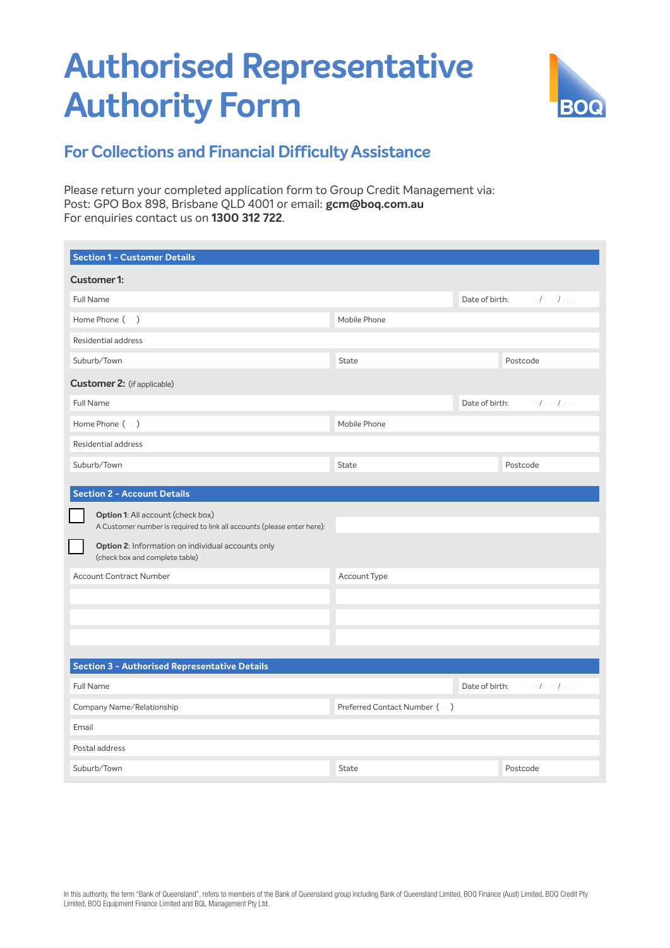## **Authorised Representative Authority Form**



## **For Collections and Financial Difficulty Assistance**

Please return your completed application form to Group Credit Management via: Post: GPO Box 898, Brisbane QLD 4001 or email: **gcm@boq.com.au** For enquiries contact us on **1300 312 722**.

| Section 1 - Customer Details                                                                                                                                                                                                          |                               |                |                               |
|---------------------------------------------------------------------------------------------------------------------------------------------------------------------------------------------------------------------------------------|-------------------------------|----------------|-------------------------------|
| <b>Customer 1:</b>                                                                                                                                                                                                                    |                               |                |                               |
| Full Name                                                                                                                                                                                                                             |                               | Date of birth: | $dd / \text{mm} / \text{yyy}$ |
| Home Phone (00)                                                                                                                                                                                                                       | Mobile Phone                  |                |                               |
| <b>Residential address</b>                                                                                                                                                                                                            |                               |                |                               |
| Suburb/Town                                                                                                                                                                                                                           | <b>State</b>                  |                | Postcode                      |
| <b>Customer 2:</b> (if applicable)                                                                                                                                                                                                    |                               |                |                               |
| Full Name                                                                                                                                                                                                                             |                               | Date of birth: | dd / mm / yyyy                |
| Home Phone (00)                                                                                                                                                                                                                       | Mobile Phone                  |                |                               |
| Residential address                                                                                                                                                                                                                   |                               |                |                               |
| Suburb/Town                                                                                                                                                                                                                           | <b>State</b>                  |                | Postcode                      |
| Option 1: All account (check box)<br>A Customer number is required to link all accounts (please enter here):<br>Option 2: Information on individual accounts only<br>(check box and complete table)<br><b>Account Contract Number</b> | Account Type                  |                |                               |
| <b>Section 3 - Authorised Representative Details</b>                                                                                                                                                                                  |                               |                |                               |
| Full Name                                                                                                                                                                                                                             |                               | Date of birth: | dd / mm / yyyy                |
| Company Name/Relationship                                                                                                                                                                                                             | Preferred Contact Number (00) |                |                               |
| Email                                                                                                                                                                                                                                 |                               |                |                               |
| Postal address                                                                                                                                                                                                                        |                               |                |                               |
| Suburb/Town                                                                                                                                                                                                                           | <b>State</b>                  |                | Postcode                      |